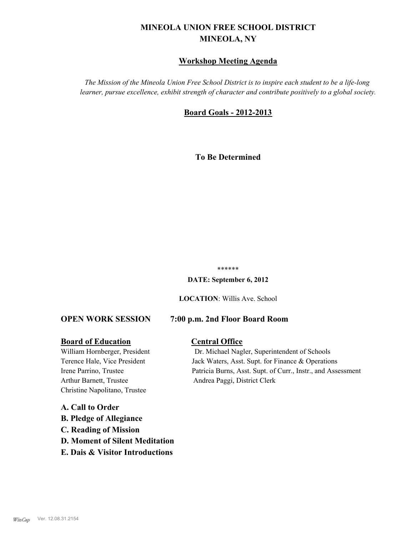# **MINEOLA UNION FREE SCHOOL DISTRICT MINEOLA, NY**

# **Workshop Meeting Agenda**

*The Mission of the Mineola Union Free School District is to inspire each student to be a life-long learner, pursue excellence, exhibit strength of character and contribute positively to a global society.*

# **Board Goals - 2012-2013**

**To Be Determined**

#### \*\*\*\*\*\*

**DATE: September 6, 2012**

**LOCATION**: Willis Ave. School

# **OPEN WORK SESSION 7:00 p.m. 2nd Floor Board Room**

#### **Board of Education Central Office**

Arthur Barnett, Trustee Andrea Paggi, District Clerk Christine Napolitano, Trustee

# **A. Call to Order B. Pledge of Allegiance C. Reading of Mission D. Moment of Silent Meditation E. Dais & Visitor Introductions**

William Hornberger, President Dr. Michael Nagler, Superintendent of Schools Terence Hale, Vice President Jack Waters, Asst. Supt. for Finance & Operations Irene Parrino, Trustee Patricia Burns, Asst. Supt. of Curr., Instr., and Assessment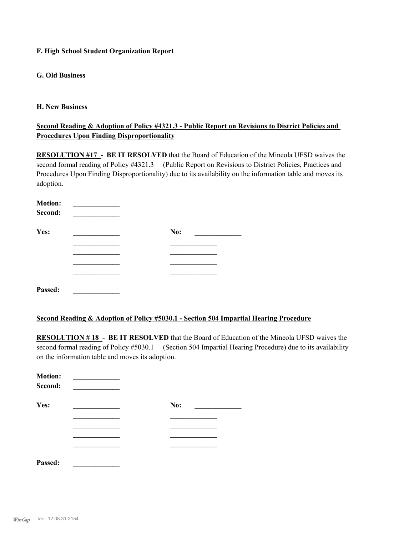#### **F. High School Student Organization Report**

### **G. Old Business**

#### **H. New Business**

## **Second Reading & Adoption of Policy #4321.3 - Public Report on Revisions to District Policies and Procedures Upon Finding Disproportionality**

**RESOLUTION #17 - BE IT RESOLVED** that the Board of Education of the Mineola UFSD waives the second formal reading of Policy #4321.3 (Public Report on Revisions to District Policies, Practices and Procedures Upon Finding Disproportionality) due to its availability on the information table and moves its adoption.

| <b>Motion:</b> |     |  |
|----------------|-----|--|
| Second:        |     |  |
| Yes:           | No: |  |
|                |     |  |
|                |     |  |
|                |     |  |
|                |     |  |
| Passed:        |     |  |

#### **Second Reading & Adoption of Policy #5030.1 - Section 504 Impartial Hearing Procedure**

**RESOLUTION # 18 - BE IT RESOLVED** that the Board of Education of the Mineola UFSD waives the second formal reading of Policy #5030.1 (Section 504 Impartial Hearing Procedure) due to its availability on the information table and moves its adoption.

| <b>Motion:</b><br>Second: |     |
|---------------------------|-----|
| Yes:                      | No: |
|                           |     |
|                           |     |
|                           |     |
|                           |     |
| Passed:                   |     |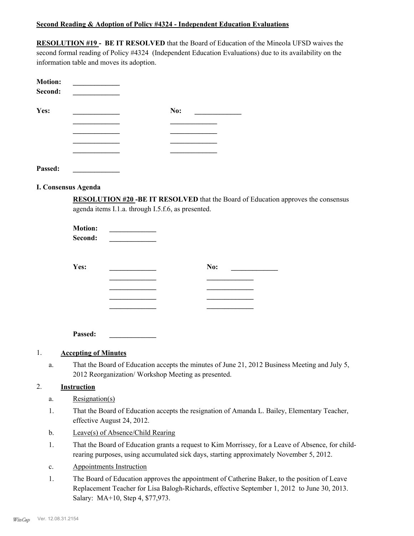#### **Second Reading & Adoption of Policy #4324 - Independent Education Evaluations**

**RESOLUTION #19 - BE IT RESOLVED** that the Board of Education of the Mineola UFSD waives the second formal reading of Policy #4324 (Independent Education Evaluations) due to its availability on the information table and moves its adoption.

| <b>Motion:</b><br>Second: |     |
|---------------------------|-----|
| Yes:                      | No: |
|                           |     |
|                           |     |
|                           |     |
|                           |     |
| Passed:                   |     |

**I. Consensus Agenda**

**RESOLUTION #20 -BE IT RESOLVED** that the Board of Education approves the consensus agenda items I.1.a. through I.5.f.6, as presented.

| <b>Motion:</b><br>Second: |     |
|---------------------------|-----|
| Yes:                      | No: |
|                           |     |
|                           |     |
|                           |     |
|                           |     |

**Passed: \_\_\_\_\_\_\_\_\_\_\_\_\_**

#### 1. **Accepting of Minutes**

That the Board of Education accepts the minutes of June 21, 2012 Business Meeting and July 5, 2012 Reorganization/ Workshop Meeting as presented. a.

### 2. **Instruction**

- a. Resignation(s)
- That the Board of Education accepts the resignation of Amanda L. Bailey, Elementary Teacher, effective August 24, 2012. 1.
- b. Leave(s) of Absence/Child Rearing
- That the Board of Education grants a request to Kim Morrissey, for a Leave of Absence, for childrearing purposes, using accumulated sick days, starting approximately November 5, 2012. 1.
- c. Appointments Instruction
- The Board of Education approves the appointment of Catherine Baker, to the position of Leave Replacement Teacher for Lisa Balogh-Richards, effective September 1, 2012 to June 30, 2013. Salary: MA+10, Step 4, \$77,973. 1.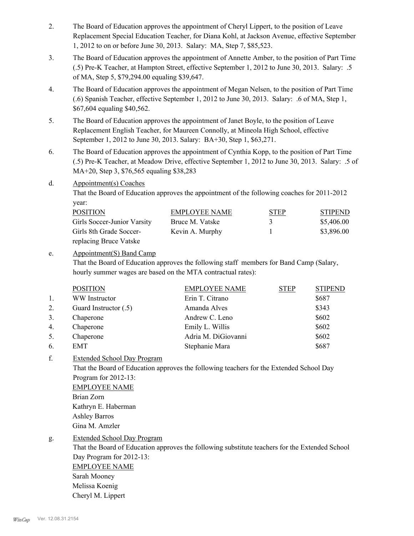- The Board of Education approves the appointment of Cheryl Lippert, to the position of Leave Replacement Special Education Teacher, for Diana Kohl, at Jackson Avenue, effective September 1, 2012 to on or before June 30, 2013. Salary: MA, Step 7, \$85,523. 2.
- The Board of Education approves the appointment of Annette Amber, to the position of Part Time (.5) Pre-K Teacher, at Hampton Street, effective September 1, 2012 to June 30, 2013. Salary: .5 of MA, Step 5, \$79,294.00 equaling \$39,647. 3.
- The Board of Education approves the appointment of Megan Nelsen, to the position of Part Time (.6) Spanish Teacher, effective September 1, 2012 to June 30, 2013. Salary: .6 of MA, Step 1, \$67,604 equaling \$40,562. 4.
- The Board of Education approves the appointment of Janet Boyle, to the position of Leave Replacement English Teacher, for Maureen Connolly, at Mineola High School, effective September 1, 2012 to June 30, 2013. Salary: BA+30, Step 1, \$63,271. 5.
- The Board of Education approves the appointment of Cynthia Kopp, to the position of Part Time (.5) Pre-K Teacher, at Meadow Drive, effective September 1, 2012 to June 30, 2013. Salary: .5 of MA+20, Step 3, \$76,565 equaling \$38,283 6.
- Appointment(s) Coaches d.

That the Board of Education approves the appointment of the following coaches for 2011-2012 year:

| <b>POSITION</b>             | EMPLOYEE NAME   | <b>STEP</b> | <b>STIPEND</b> |
|-----------------------------|-----------------|-------------|----------------|
| Girls Soccer-Junior Varsity | Bruce M. Vatske | 3           | \$5,406.00     |
| Girls 8th Grade Soccer-     | Kevin A. Murphy |             | \$3,896.00     |
| replacing Bruce Vatske      |                 |             |                |

#### Appointment(S) Band Camp e.

That the Board of Education approves the following staff members for Band Camp (Salary, hourly summer wages are based on the MTA contractual rates):

|    | <b>POSITION</b>       | <b>EMPLOYEE NAME</b> | <b>STEP</b> | <b>STIPEND</b> |
|----|-----------------------|----------------------|-------------|----------------|
| 1. | WW Instructor         | Erin T. Citrano      |             | \$687          |
| 2. | Guard Instructor (.5) | Amanda Alves         |             | \$343          |
| 3. | Chaperone             | Andrew C. Leno       |             | \$602          |
| 4. | Chaperone             | Emily L. Willis      |             | \$602          |
| 5. | Chaperone             | Adria M. DiGiovanni  |             | \$602          |
| 6. | EMT                   | Stephanie Mara       |             | \$687          |

Extended School Day Program f.

> That the Board of Education approves the following teachers for the Extended School Day Program for 2012-13: EMPLOYEE NAME Brian Zorn Kathryn E. Haberman Ashley Barros

Gina M. Amzler

Extended School Day Program g.

> That the Board of Education approves the following substitute teachers for the Extended School Day Program for 2012-13: EMPLOYEE NAME Sarah Mooney Melissa Koenig Cheryl M. Lippert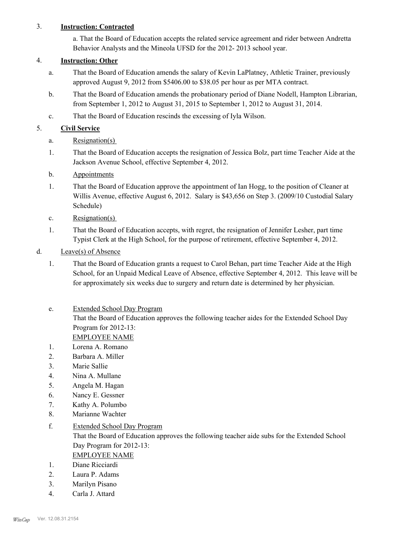## 3. **Instruction: Contracted**

a. That the Board of Education accepts the related service agreement and rider between Andretta Behavior Analysts and the Mineola UFSD for the 2012- 2013 school year.

## 4. **Instruction: Other**

- That the Board of Education amends the salary of Kevin LaPlatney, Athletic Trainer, previously approved August 9, 2012 from \$5406.00 to \$38.05 per hour as per MTA contract. a.
- That the Board of Education amends the probationary period of Diane Nodell, Hampton Librarian, from September 1, 2012 to August 31, 2015 to September 1, 2012 to August 31, 2014. b.
- c. That the Board of Education rescinds the excessing of Iyla Wilson.

# 5. **Civil Service**

- a. Resignation(s)
- That the Board of Education accepts the resignation of Jessica Bolz, part time Teacher Aide at the Jackson Avenue School, effective September 4, 2012. 1.
- b. Appointments
- That the Board of Education approve the appointment of Ian Hogg, to the position of Cleaner at Willis Avenue, effective August 6, 2012. Salary is \$43,656 on Step 3. (2009/10 Custodial Salary Schedule) 1.
- c. Resignation(s)
- That the Board of Education accepts, with regret, the resignation of Jennifer Lesher, part time Typist Clerk at the High School, for the purpose of retirement, effective September 4, 2012. 1.
- d. Leave(s) of Absence
	- That the Board of Education grants a request to Carol Behan, part time Teacher Aide at the High School, for an Unpaid Medical Leave of Absence, effective September 4, 2012. This leave will be for approximately six weeks due to surgery and return date is determined by her physician. 1.
	- Extended School Day Program That the Board of Education approves the following teacher aides for the Extended School Day Program for 2012-13: e. EMPLOYEE NAME
	- 1. Lorena A. Romano
	- 2. Barbara A. Miller
	- 3. Marie Sallie
	- 4. Nina A. Mullane
	- 5. Angela M. Hagan
	- 6. Nancy E. Gessner
	- 7. Kathy A. Polumbo
	- 8. Marianne Wachter
	- Extended School Day Program f.

That the Board of Education approves the following teacher aide subs for the Extended School Day Program for 2012-13:

- EMPLOYEE NAME
- 1. Diane Ricciardi
- 2. Laura P. Adams
- 3. Marilyn Pisano
- 4. Carla J. Attard